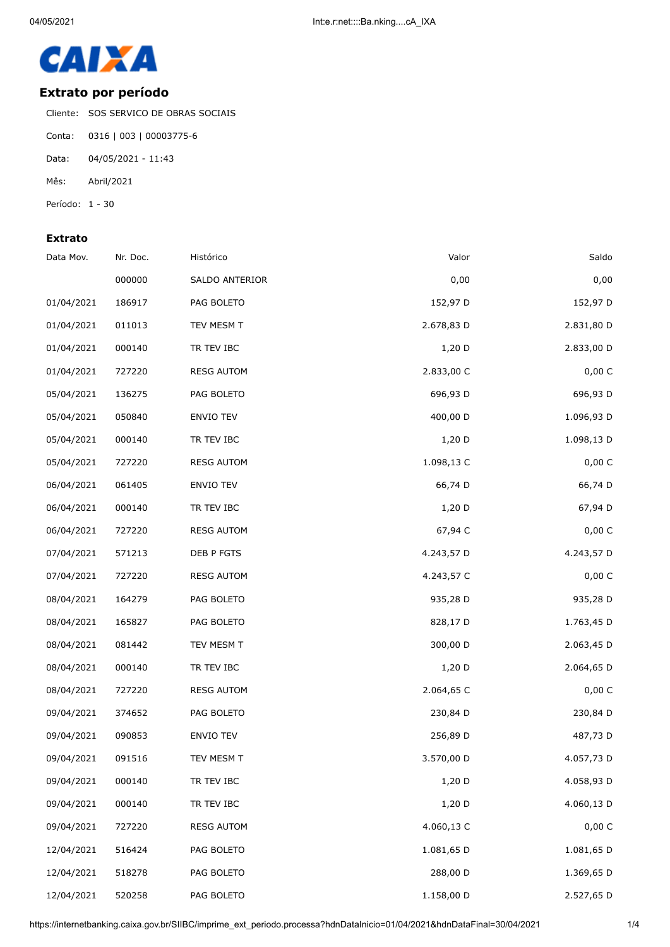

## **Extrato por período**

Cliente: SOS SERVICO DE OBRAS SOCIAIS

- Conta: 0316 | 003 | 00003775-6
- Data: 04/05/2021 11:43
- Mês: Abril/2021
- Período: 1 30

## **Extrato**

| Saldo      | Valor      | Histórico         | Nr. Doc. | Data Mov.  |
|------------|------------|-------------------|----------|------------|
| 0,00       | 0,00       | SALDO ANTERIOR    | 000000   |            |
| 152,97 D   | 152,97 D   | PAG BOLETO        | 186917   | 01/04/2021 |
| 2.831,80 D | 2.678,83 D | TEV MESM T        | 011013   | 01/04/2021 |
| 2.833,00 D | 1,20 D     | TR TEV IBC        | 000140   | 01/04/2021 |
| 0,00 C     | 2.833,00 C | <b>RESG AUTOM</b> | 727220   | 01/04/2021 |
| 696,93 D   | 696,93 D   | PAG BOLETO        | 136275   | 05/04/2021 |
| 1.096,93 D | 400,00 D   | ENVIO TEV         | 050840   | 05/04/2021 |
| 1.098,13 D | 1,20 D     | TR TEV IBC        | 000140   | 05/04/2021 |
| 0,00 C     | 1.098,13 C | <b>RESG AUTOM</b> | 727220   | 05/04/2021 |
| 66,74 D    | 66,74 D    | <b>ENVIO TEV</b>  | 061405   | 06/04/2021 |
| 67,94 D    | $1,20$ D   | TR TEV IBC        | 000140   | 06/04/2021 |
| 0,00 C     | 67,94 C    | <b>RESG AUTOM</b> | 727220   | 06/04/2021 |
| 4.243,57 D | 4.243,57 D | DEB P FGTS        | 571213   | 07/04/2021 |
| 0,00 C     | 4.243,57 C | <b>RESG AUTOM</b> | 727220   | 07/04/2021 |
| 935,28 D   | 935,28 D   | PAG BOLETO        | 164279   | 08/04/2021 |
| 1.763,45 D | 828,17 D   | PAG BOLETO        | 165827   | 08/04/2021 |
| 2.063,45 D | 300,00 D   | TEV MESM T        | 081442   | 08/04/2021 |
| 2.064,65 D | 1,20 D     | TR TEV IBC        | 000140   | 08/04/2021 |
| 0,00 C     | 2.064,65 C | <b>RESG AUTOM</b> | 727220   | 08/04/2021 |
| 230,84 D   | 230,84 D   | PAG BOLETO        | 374652   | 09/04/2021 |
| 487,73 D   | 256,89 D   | <b>ENVIO TEV</b>  | 090853   | 09/04/2021 |
| 4.057,73 D | 3.570,00 D | TEV MESM T        | 091516   | 09/04/2021 |
| 4.058,93 D | 1,20 D     | TR TEV IBC        | 000140   | 09/04/2021 |
| 4.060,13 D | 1,20 D     | TR TEV IBC        | 000140   | 09/04/2021 |
| 0,00 C     | 4.060,13 C | <b>RESG AUTOM</b> | 727220   | 09/04/2021 |
| 1.081,65 D | 1.081,65 D | PAG BOLETO        | 516424   | 12/04/2021 |
| 1.369,65 D | 288,00 D   | PAG BOLETO        | 518278   | 12/04/2021 |
| 2.527,65 D | 1.158,00 D | PAG BOLETO        | 520258   | 12/04/2021 |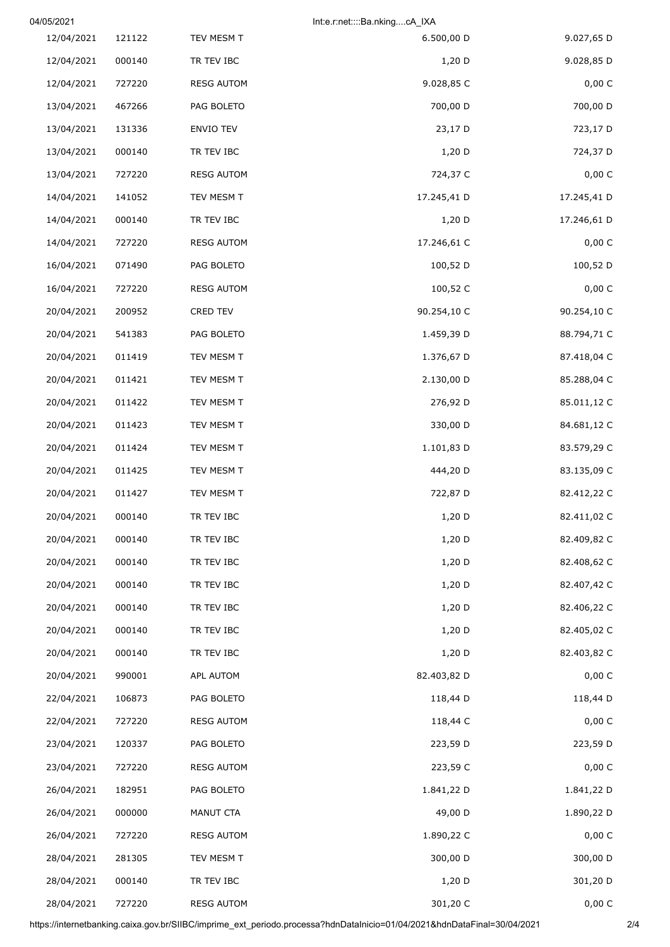| 04/05/2021 |        | Int:e.r:net::::Ba.nkingcA_IXA |             |             |
|------------|--------|-------------------------------|-------------|-------------|
| 12/04/2021 | 121122 | TEV MESM T                    | 6.500,00 D  | 9.027,65 D  |
| 12/04/2021 | 000140 | TR TEV IBC                    | $1,20$ D    | 9.028,85 D  |
| 12/04/2021 | 727220 | <b>RESG AUTOM</b>             | 9.028,85 C  | 0,00 C      |
| 13/04/2021 | 467266 | PAG BOLETO                    | 700,00 D    | 700,00 D    |
| 13/04/2021 | 131336 | ENVIO TEV                     | 23,17 D     | 723,17 D    |
| 13/04/2021 | 000140 | TR TEV IBC                    | $1,20$ D    | 724,37 D    |
| 13/04/2021 | 727220 | <b>RESG AUTOM</b>             | 724,37 C    | 0,00 C      |
| 14/04/2021 | 141052 | TEV MESM T                    | 17.245,41 D | 17.245,41 D |
| 14/04/2021 | 000140 | TR TEV IBC                    | $1,20$ D    | 17.246,61 D |
| 14/04/2021 | 727220 | <b>RESG AUTOM</b>             | 17.246,61 C | 0,00 C      |
| 16/04/2021 | 071490 | PAG BOLETO                    | 100,52 D    | 100,52 D    |
| 16/04/2021 | 727220 | <b>RESG AUTOM</b>             | 100,52 C    | 0,00 C      |
| 20/04/2021 | 200952 | CRED TEV                      | 90.254,10 C | 90.254,10 C |
| 20/04/2021 | 541383 | PAG BOLETO                    | 1.459,39 D  | 88.794,71 C |
| 20/04/2021 | 011419 | TEV MESM T                    | 1.376,67 D  | 87.418,04 C |
| 20/04/2021 | 011421 | TEV MESM T                    | 2.130,00 D  | 85.288,04 C |
| 20/04/2021 | 011422 | TEV MESM T                    | 276,92 D    | 85.011,12 C |
| 20/04/2021 | 011423 | TEV MESM T                    | 330,00 D    | 84.681,12 C |
| 20/04/2021 | 011424 | TEV MESM T                    | 1.101,83 D  | 83.579,29 C |
| 20/04/2021 | 011425 | TEV MESM T                    | 444,20 D    | 83.135,09 C |
| 20/04/2021 | 011427 | TEV MESM T                    | 722,87 D    | 82.412,22 C |
| 20/04/2021 | 000140 | TR TEV IBC                    | 1,20 D      | 82.411,02 C |
| 20/04/2021 | 000140 | TR TEV IBC                    | $1,20$ D    | 82.409,82 C |
| 20/04/2021 | 000140 | TR TEV IBC                    | $1,20$ D    | 82.408,62 C |
| 20/04/2021 | 000140 | TR TEV IBC                    | 1,20 D      | 82.407,42 C |
| 20/04/2021 | 000140 | TR TEV IBC                    | $1,20$ D    | 82.406,22 C |
| 20/04/2021 | 000140 | TR TEV IBC                    | 1,20 D      | 82.405,02 C |
| 20/04/2021 | 000140 | TR TEV IBC                    | 1,20 D      | 82.403,82 C |
| 20/04/2021 | 990001 | APL AUTOM                     | 82.403,82 D | 0,00 C      |
| 22/04/2021 | 106873 | PAG BOLETO                    | 118,44 D    | 118,44 D    |
| 22/04/2021 | 727220 | <b>RESG AUTOM</b>             | 118,44 C    | 0,00 C      |
| 23/04/2021 | 120337 | PAG BOLETO                    | 223,59 D    | 223,59 D    |
| 23/04/2021 | 727220 | <b>RESG AUTOM</b>             | 223,59 C    | 0,00 C      |
| 26/04/2021 | 182951 | PAG BOLETO                    | 1.841,22 D  | 1.841,22 D  |
| 26/04/2021 | 000000 | MANUT CTA                     | 49,00 D     | 1.890,22 D  |
| 26/04/2021 | 727220 | <b>RESG AUTOM</b>             | 1.890,22 C  | 0,00 C      |
| 28/04/2021 | 281305 | TEV MESM T                    | 300,00 D    | 300,00 D    |
| 28/04/2021 | 000140 | TR TEV IBC                    | 1,20 D      | 301,20 D    |
| 28/04/2021 | 727220 | <b>RESG AUTOM</b>             | 301,20 C    | 0,00 C      |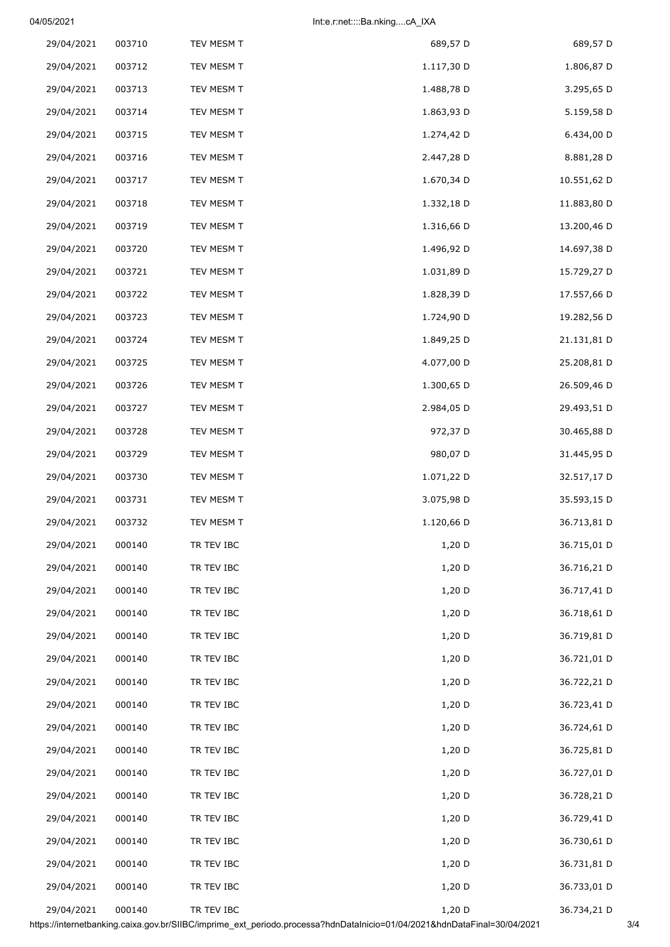04/05/2021 Int:e.r:net::::Ba.nking....cA\_IXA

| 29/04/2021 | 003710 | TEV MESM T | 689,57 D   | 689,57 D    |
|------------|--------|------------|------------|-------------|
| 29/04/2021 | 003712 | TEV MESM T | 1.117,30 D | 1.806,87 D  |
| 29/04/2021 | 003713 | TEV MESM T | 1.488,78 D | 3.295,65 D  |
| 29/04/2021 | 003714 | TEV MESM T | 1.863,93 D | 5.159,58 D  |
| 29/04/2021 | 003715 | TEV MESM T | 1.274,42 D | 6.434,00 D  |
| 29/04/2021 | 003716 | TEV MESM T | 2.447,28 D | 8.881,28 D  |
| 29/04/2021 | 003717 | TEV MESM T | 1.670,34 D | 10.551,62 D |
| 29/04/2021 | 003718 | TEV MESM T | 1.332,18 D | 11.883,80 D |
| 29/04/2021 | 003719 | TEV MESM T | 1.316,66 D | 13.200,46 D |
| 29/04/2021 | 003720 | TEV MESM T | 1.496,92 D | 14.697,38 D |
| 29/04/2021 | 003721 | TEV MESM T | 1.031,89 D | 15.729,27 D |
| 29/04/2021 | 003722 | TEV MESM T | 1.828,39 D | 17.557,66 D |
| 29/04/2021 | 003723 | TEV MESM T | 1.724,90 D | 19.282,56 D |
| 29/04/2021 | 003724 | TEV MESM T | 1.849,25 D | 21.131,81 D |
| 29/04/2021 | 003725 | TEV MESM T | 4.077,00 D | 25.208,81 D |
| 29/04/2021 | 003726 | TEV MESM T | 1.300,65 D | 26.509,46 D |
| 29/04/2021 | 003727 | TEV MESM T | 2.984,05 D | 29.493,51 D |
| 29/04/2021 | 003728 | TEV MESM T | 972,37 D   | 30.465,88 D |
| 29/04/2021 | 003729 | TEV MESM T | 980,07 D   | 31.445,95 D |
| 29/04/2021 | 003730 | TEV MESM T | 1.071,22 D | 32.517,17 D |
| 29/04/2021 | 003731 | TEV MESM T | 3.075,98 D | 35.593,15 D |
| 29/04/2021 | 003732 | TEV MESM T | 1.120,66 D | 36.713,81 D |
| 29/04/2021 | 000140 | TR TEV IBC | 1,20 D     | 36.715,01 D |
| 29/04/2021 | 000140 | TR TEV IBC | 1,20 D     | 36.716,21 D |
| 29/04/2021 | 000140 | TR TEV IBC | 1,20 D     | 36.717,41 D |
| 29/04/2021 | 000140 | TR TEV IBC | 1,20 D     | 36.718,61 D |
| 29/04/2021 | 000140 | TR TEV IBC | 1,20 D     | 36.719,81 D |
| 29/04/2021 | 000140 | TR TEV IBC | 1,20 D     | 36.721,01 D |
| 29/04/2021 | 000140 | TR TEV IBC | 1,20 D     | 36.722,21 D |
| 29/04/2021 | 000140 | TR TEV IBC | 1,20 D     | 36.723,41 D |
| 29/04/2021 | 000140 | TR TEV IBC | 1,20 D     | 36.724,61 D |
| 29/04/2021 | 000140 | TR TEV IBC | 1,20 D     | 36.725,81 D |
| 29/04/2021 | 000140 | TR TEV IBC | 1,20 D     | 36.727,01 D |
| 29/04/2021 | 000140 | TR TEV IBC | 1,20 D     | 36.728,21 D |
| 29/04/2021 | 000140 | TR TEV IBC | 1,20 D     | 36.729,41 D |
| 29/04/2021 | 000140 | TR TEV IBC | 1,20 D     | 36.730,61 D |
| 29/04/2021 | 000140 | TR TEV IBC | 1,20 D     | 36.731,81 D |
| 29/04/2021 | 000140 | TR TEV IBC | 1,20 D     | 36.733,01 D |
| 29/04/2021 | 000140 | TR TEV IBC | 1,20 D     | 36.734,21 D |

https://internetbanking.caixa.gov.br/SIIBC/imprime\_ext\_periodo.processa?hdnDataInicio=01/04/2021&hdnDataFinal=30/04/2021 3/4